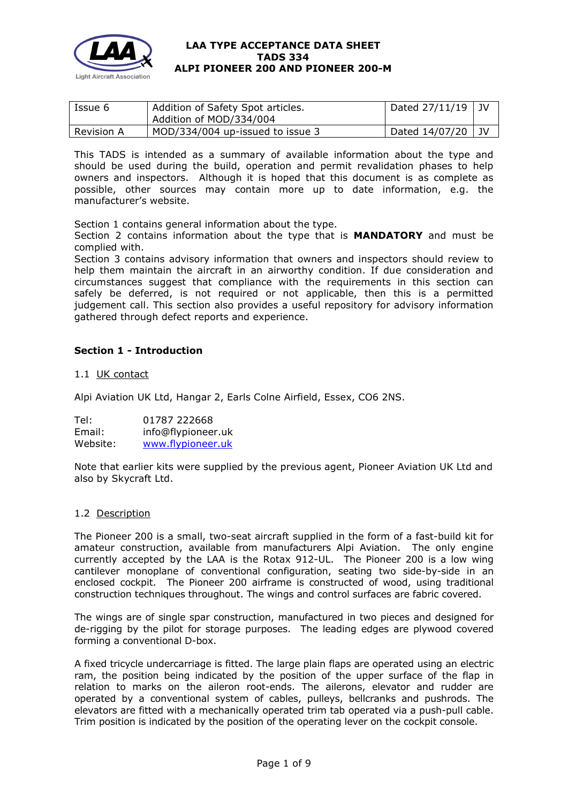

| Issue 6    | Addition of Safety Spot articles. | Dated $27/11/19$ JV |      |
|------------|-----------------------------------|---------------------|------|
|            | Addition of MOD/334/004           |                     |      |
| Revision A | MOD/334/004 up-issued to issue 3  | Dated 14/07/20      | i JV |

This TADS is intended as a summary of available information about the type and should be used during the build, operation and permit revalidation phases to help owners and inspectors. Although it is hoped that this document is as complete as possible, other sources may contain more up to date information, e.g. the manufacturer's website.

Section 1 contains general information about the type.

Section 2 contains information about the type that is **MANDATORY** and must be complied with.

Section 3 contains advisory information that owners and inspectors should review to help them maintain the aircraft in an airworthy condition. If due consideration and circumstances suggest that compliance with the requirements in this section can safely be deferred, is not required or not applicable, then this is a permitted judgement call. This section also provides a useful repository for advisory information gathered through defect reports and experience.

# **Section 1 - Introduction**

#### 1.1 UK contact

Alpi Aviation UK Ltd, Hangar 2, Earls Colne Airfield, Essex, CO6 2NS.

Tel: 01787 222668 Email: info@flypioneer.uk<br>Website: www.flypioneer.uk [www.flypioneer.uk](http://www.flypioneer.uk/)

Note that earlier kits were supplied by the previous agent, Pioneer Aviation UK Ltd and also by Skycraft Ltd.

#### 1.2 Description

The Pioneer 200 is a small, two-seat aircraft supplied in the form of a fast-build kit for amateur construction, available from manufacturers Alpi Aviation. The only engine currently accepted by the LAA is the Rotax 912-UL. The Pioneer 200 is a low wing cantilever monoplane of conventional configuration, seating two side-by-side in an enclosed cockpit. The Pioneer 200 airframe is constructed of wood, using traditional construction techniques throughout. The wings and control surfaces are fabric covered.

The wings are of single spar construction, manufactured in two pieces and designed for de-rigging by the pilot for storage purposes. The leading edges are plywood covered forming a conventional D-box.

A fixed tricycle undercarriage is fitted. The large plain flaps are operated using an electric ram, the position being indicated by the position of the upper surface of the flap in relation to marks on the aileron root-ends. The ailerons, elevator and rudder are operated by a conventional system of cables, pulleys, bellcranks and pushrods. The elevators are fitted with a mechanically operated trim tab operated via a push-pull cable. Trim position is indicated by the position of the operating lever on the cockpit console.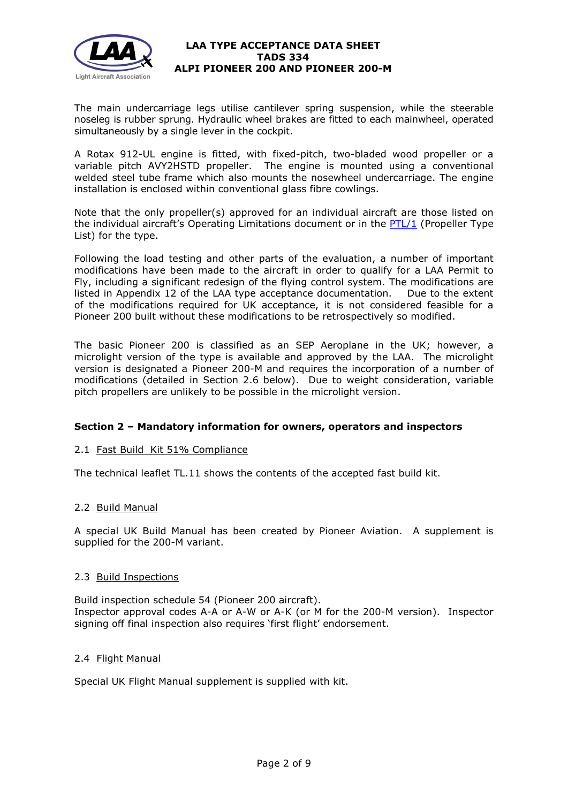

The main undercarriage legs utilise cantilever spring suspension, while the steerable noseleg is rubber sprung. Hydraulic wheel brakes are fitted to each mainwheel, operated simultaneously by a single lever in the cockpit.

A Rotax 912-UL engine is fitted, with fixed-pitch, two-bladed wood propeller or a variable pitch AVY2HSTD propeller. The engine is mounted using a conventional welded steel tube frame which also mounts the nosewheel undercarriage. The engine installation is enclosed within conventional glass fibre cowlings.

Note that the only propeller(s) approved for an individual aircraft are those listed on the individual aircraft's Operating Limitations document or in the  $PTL/1$  (Propeller Type List) for the type.

Following the load testing and other parts of the evaluation, a number of important modifications have been made to the aircraft in order to qualify for a LAA Permit to Fly, including a significant redesign of the flying control system. The modifications are listed in Appendix 12 of the LAA type acceptance documentation. Due to the extent of the modifications required for UK acceptance, it is not considered feasible for a Pioneer 200 built without these modifications to be retrospectively so modified.

The basic Pioneer 200 is classified as an SEP Aeroplane in the UK; however, a microlight version of the type is available and approved by the LAA. The microlight version is designated a Pioneer 200-M and requires the incorporation of a number of modifications (detailed in Section 2.6 below). Due to weight consideration, variable pitch propellers are unlikely to be possible in the microlight version.

# **Section 2 – Mandatory information for owners, operators and inspectors**

# 2.1 Fast Build Kit 51% Compliance

The technical leaflet TL.11 shows the contents of the accepted fast build kit.

# 2.2 Build Manual

A special UK Build Manual has been created by Pioneer Aviation. A supplement is supplied for the 200-M variant.

# 2.3 Build Inspections

Build inspection schedule 54 (Pioneer 200 aircraft). Inspector approval codes A-A or A-W or A-K (or M for the 200-M version). Inspector signing off final inspection also requires 'first flight' endorsement.

# 2.4 Flight Manual

Special UK Flight Manual supplement is supplied with kit.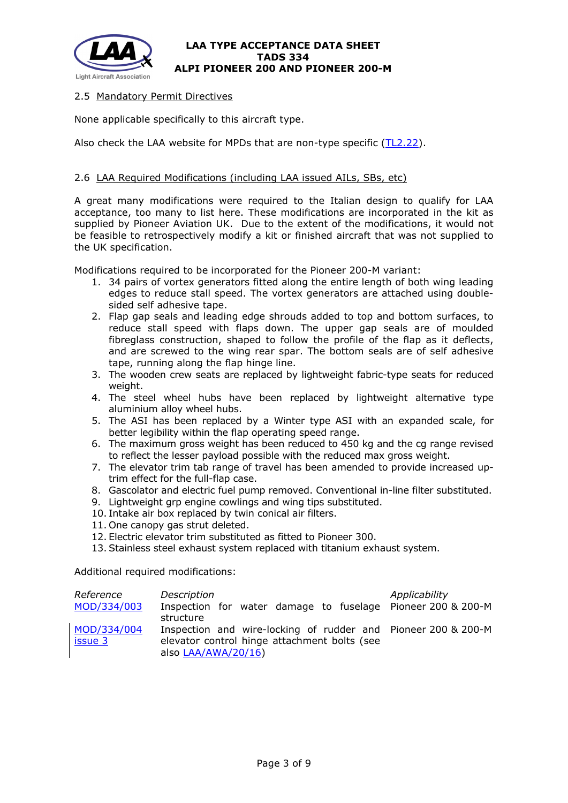

# 2.5 Mandatory Permit Directives

None applicable specifically to this aircraft type.

Also check the LAA website for MPDs that are non-type specific [\(TL2.22\)](http://www.lightaircraftassociation.co.uk/engineering/TechnicalLeaflets/Operating%20An%20Aircraft/TL%202.22%20non-type%20specific%20MPDs.pdf).

# 2.6 LAA Required Modifications (including LAA issued AILs, SBs, etc)

A great many modifications were required to the Italian design to qualify for LAA acceptance, too many to list here. These modifications are incorporated in the kit as supplied by Pioneer Aviation UK. Due to the extent of the modifications, it would not be feasible to retrospectively modify a kit or finished aircraft that was not supplied to the UK specification.

Modifications required to be incorporated for the Pioneer 200-M variant:

- 1. 34 pairs of vortex generators fitted along the entire length of both wing leading edges to reduce stall speed. The vortex generators are attached using doublesided self adhesive tape.
- 2. Flap gap seals and leading edge shrouds added to top and bottom surfaces, to reduce stall speed with flaps down. The upper gap seals are of moulded fibreglass construction, shaped to follow the profile of the flap as it deflects, and are screwed to the wing rear spar. The bottom seals are of self adhesive tape, running along the flap hinge line.
- 3. The wooden crew seats are replaced by lightweight fabric-type seats for reduced weight.
- 4. The steel wheel hubs have been replaced by lightweight alternative type aluminium alloy wheel hubs.
- 5. The ASI has been replaced by a Winter type ASI with an expanded scale, for better legibility within the flap operating speed range.
- 6. The maximum gross weight has been reduced to 450 kg and the cg range revised to reflect the lesser payload possible with the reduced max gross weight.
- 7. The elevator trim tab range of travel has been amended to provide increased uptrim effect for the full-flap case.
- 8. Gascolator and electric fuel pump removed. Conventional in-line filter substituted.
- 9. Lightweight grp engine cowlings and wing tips substituted.
- 10. Intake air box replaced by twin conical air filters.
- 11. One canopy gas strut deleted.
- 12. Electric elevator trim substituted as fitted to Pioneer 300.
- 13. Stainless steel exhaust system replaced with titanium exhaust system.

Additional required modifications:

| Reference<br>MOD/334/003 | Description<br>Inspection for water damage to fuselage Pioneer 200 & 200-M                                                                        | Applicability |
|--------------------------|---------------------------------------------------------------------------------------------------------------------------------------------------|---------------|
| MOD/334/004<br>issue 3   | structure<br>Inspection and wire-locking of rudder and Pioneer 200 & 200-M<br>elevator control hinge attachment bolts (see<br>also LAA/AWA/20/16) |               |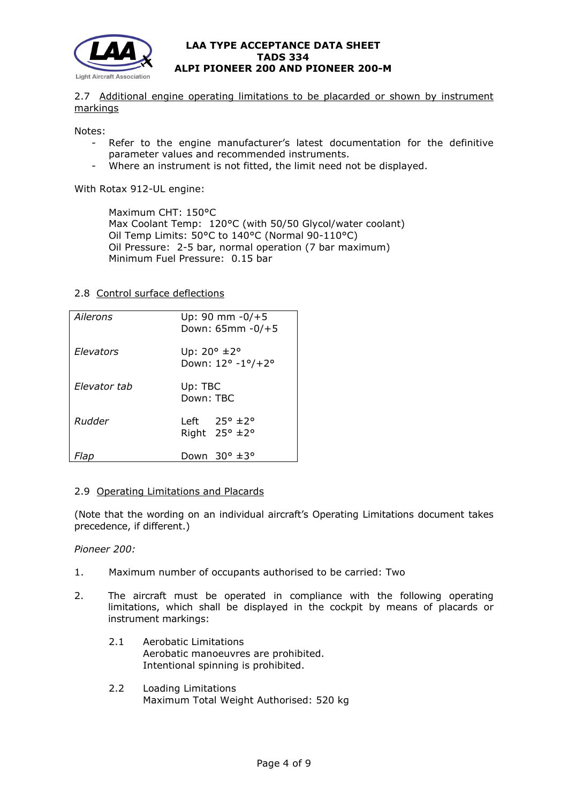

2.7 Additional engine operating limitations to be placarded or shown by instrument markings

Notes:

- Refer to the engine manufacturer's latest documentation for the definitive parameter values and recommended instruments.
- Where an instrument is not fitted, the limit need not be displayed.

With Rotax 912-UL engine:

Maximum CHT: 150°C Max Coolant Temp: 120°C (with 50/50 Glycol/water coolant) Oil Temp Limits: 50°C to 140°C (Normal 90-110°C) Oil Pressure: 2-5 bar, normal operation (7 bar maximum) Minimum Fuel Pressure: 0.15 bar

#### 2.8 Control surface deflections

| Ailerons     | Up: 90 mm $-0/+5$<br>Down: 65mm - 0/+5                            |  |
|--------------|-------------------------------------------------------------------|--|
| Elevators    | Up: $20^{\circ}$ $\pm 2^{\circ}$<br>Down: 12° -1°/+2°             |  |
| Flevator tab | Up: TBC<br>Down: TBC                                              |  |
| Rudder       | Left $25^{\circ}$ $\pm 2^{\circ}$<br>Right $25^\circ \pm 2^\circ$ |  |
| -lap         | Down $30^\circ \pm 3^\circ$                                       |  |

# 2.9 Operating Limitations and Placards

(Note that the wording on an individual aircraft's Operating Limitations document takes precedence, if different.)

# *Pioneer 200:*

- 1. Maximum number of occupants authorised to be carried: Two
- 2. The aircraft must be operated in compliance with the following operating limitations, which shall be displayed in the cockpit by means of placards or instrument markings:
	- 2.1 Aerobatic Limitations Aerobatic manoeuvres are prohibited. Intentional spinning is prohibited.
	- 2.2 Loading Limitations Maximum Total Weight Authorised: 520 kg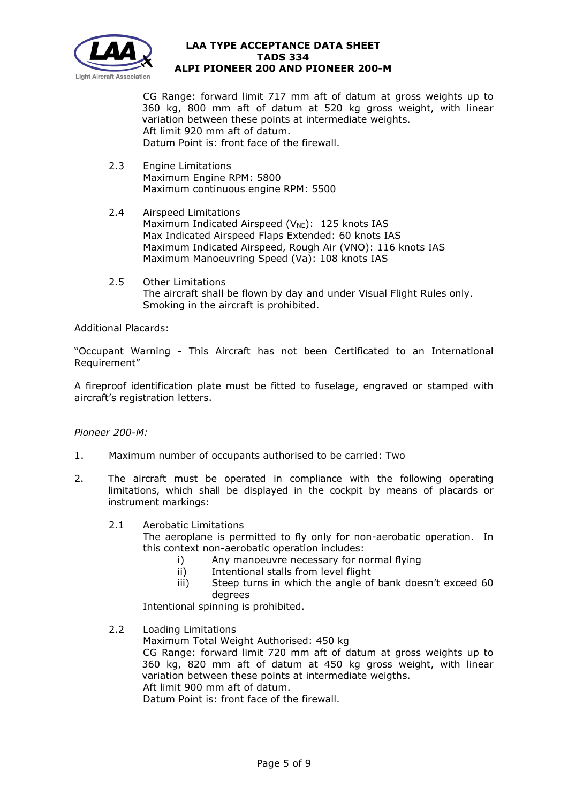

CG Range: forward limit 717 mm aft of datum at gross weights up to 360 kg, 800 mm aft of datum at 520 kg gross weight, with linear variation between these points at intermediate weights. Aft limit 920 mm aft of datum. Datum Point is: front face of the firewall.

- 2.3 Engine Limitations Maximum Engine RPM: 5800 Maximum continuous engine RPM: 5500
- 2.4 Airspeed Limitations Maximum Indicated Airspeed ( $V_{NE}$ ): 125 knots IAS Max Indicated Airspeed Flaps Extended: 60 knots IAS Maximum Indicated Airspeed, Rough Air (VNO): 116 knots IAS Maximum Manoeuvring Speed (Va): 108 knots IAS
- 2.5 Other Limitations The aircraft shall be flown by day and under Visual Flight Rules only. Smoking in the aircraft is prohibited.

Additional Placards:

"Occupant Warning - This Aircraft has not been Certificated to an International Requirement"

A fireproof identification plate must be fitted to fuselage, engraved or stamped with aircraft's registration letters.

#### *Pioneer 200-M:*

- 1. Maximum number of occupants authorised to be carried: Two
- 2. The aircraft must be operated in compliance with the following operating limitations, which shall be displayed in the cockpit by means of placards or instrument markings:
	- 2.1 Aerobatic Limitations
		- The aeroplane is permitted to fly only for non-aerobatic operation. In this context non-aerobatic operation includes:
			- i) Any manoeuvre necessary for normal flying<br>ii) Intentional stalls from level flight
			- Intentional stalls from level flight
			- iii) Steep turns in which the angle of bank doesn't exceed 60 degrees

Intentional spinning is prohibited.

2.2 Loading Limitations

Maximum Total Weight Authorised: 450 kg CG Range: forward limit 720 mm aft of datum at gross weights up to 360 kg, 820 mm aft of datum at 450 kg gross weight, with linear variation between these points at intermediate weigths. Aft limit 900 mm aft of datum. Datum Point is: front face of the firewall.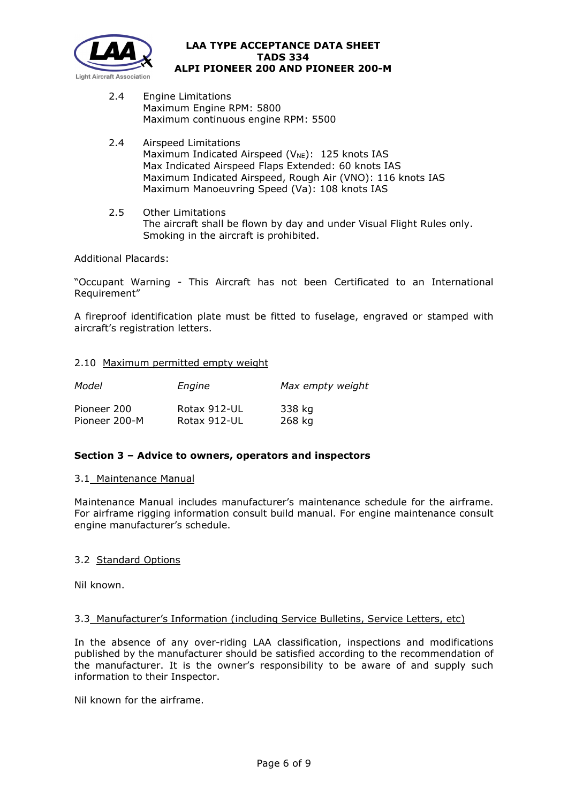

- 2.4 Engine Limitations Maximum Engine RPM: 5800 Maximum continuous engine RPM: 5500
- 2.4 Airspeed Limitations Maximum Indicated Airspeed ( $V_{NE}$ ): 125 knots IAS Max Indicated Airspeed Flaps Extended: 60 knots IAS Maximum Indicated Airspeed, Rough Air (VNO): 116 knots IAS Maximum Manoeuvring Speed (Va): 108 knots IAS
- 2.5 Other Limitations The aircraft shall be flown by day and under Visual Flight Rules only. Smoking in the aircraft is prohibited.

# Additional Placards:

"Occupant Warning - This Aircraft has not been Certificated to an International Requirement"

A fireproof identification plate must be fitted to fuselage, engraved or stamped with aircraft's registration letters.

# 2.10 Maximum permitted empty weight

| Model         | Engine       | Max empty weight |
|---------------|--------------|------------------|
| Pioneer 200   | Rotax 912-UL | 338 kg           |
| Pioneer 200-M | Rotax 912-UL | 268 kg           |

# **Section 3 – Advice to owners, operators and inspectors**

# 3.1 Maintenance Manual

Maintenance Manual includes manufacturer's maintenance schedule for the airframe. For airframe rigging information consult build manual. For engine maintenance consult engine manufacturer's schedule.

# 3.2 Standard Options

Nil known.

# 3.3 Manufacturer's Information (including Service Bulletins, Service Letters, etc)

In the absence of any over-riding LAA classification, inspections and modifications published by the manufacturer should be satisfied according to the recommendation of the manufacturer. It is the owner's responsibility to be aware of and supply such information to their Inspector.

Nil known for the airframe.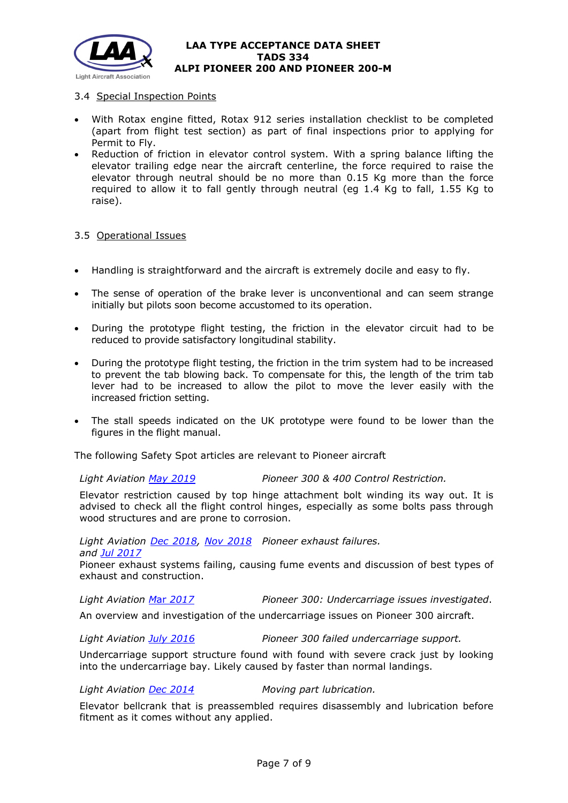

# 3.4 Special Inspection Points

- With Rotax engine fitted, Rotax 912 series installation checklist to be completed (apart from flight test section) as part of final inspections prior to applying for Permit to Fly.
- Reduction of friction in elevator control system. With a spring balance lifting the elevator trailing edge near the aircraft centerline, the force required to raise the elevator through neutral should be no more than 0.15 Kg more than the force required to allow it to fall gently through neutral (eg 1.4 Kg to fall, 1.55 Kg to raise).

#### 3.5 Operational Issues

- Handling is straightforward and the aircraft is extremely docile and easy to fly.
- The sense of operation of the brake lever is unconventional and can seem strange initially but pilots soon become accustomed to its operation.
- During the prototype flight testing, the friction in the elevator circuit had to be reduced to provide satisfactory longitudinal stability.
- During the prototype flight testing, the friction in the trim system had to be increased to prevent the tab blowing back. To compensate for this, the length of the trim tab lever had to be increased to allow the pilot to move the lever easily with the increased friction setting.
- The stall speeds indicated on the UK prototype were found to be lower than the figures in the flight manual.

The following Safety Spot articles are relevant to Pioneer aircraft

*Light Aviation [May 2019](http://www.lightaircraftassociation.co.uk/2019/Magazine/May/SafetySpot%2005-2019.pdf) Pioneer 300 & 400 Control Restriction.*

Elevator restriction caused by top hinge attachment bolt winding its way out. It is advised to check all the flight control hinges, especially as some bolts pass through wood structures and are prone to corrosion.

### *Light Aviation [Dec 2018,](http://www.lightaircraftassociation.co.uk/2018/Magazine/Dec/SS.pdf) [Nov 2018](http://www.lightaircraftassociation.co.uk/2018/Magazine/Nov/safety_spot-nov.pdf) Pioneer exhaust failures. and Jul [2017](http://www.lightaircraftassociation.co.uk/2017/Magazine/Jul/jul_safety%20spot.pdf)* Pioneer exhaust systems failing, causing fume events and discussion of best types of

exhaust and construction.

*Light Aviation M*ar *[2017](http://www.lightaircraftassociation.co.uk/2017/Magazine/Mar/safety_spot.pdf) Pioneer 300: Undercarriage issues investigated*.

An overview and investigation of the undercarriage issues on Pioneer 300 aircraft.

*Light Aviation [July 2016](http://www.lightaircraftassociation.co.uk/2016/Magazine/Jul/safety_spot.pdf) Pioneer 300 failed undercarriage support.*

Undercarriage support structure found with found with severe crack just by looking into the undercarriage bay. Likely caused by faster than normal landings.

#### *Light Aviation [Dec 2014](http://www.lightaircraftassociation.co.uk/2014/Mag/Dec/SafetySpot.pdf) Moving part lubrication.*

Elevator bellcrank that is preassembled requires disassembly and lubrication before fitment as it comes without any applied.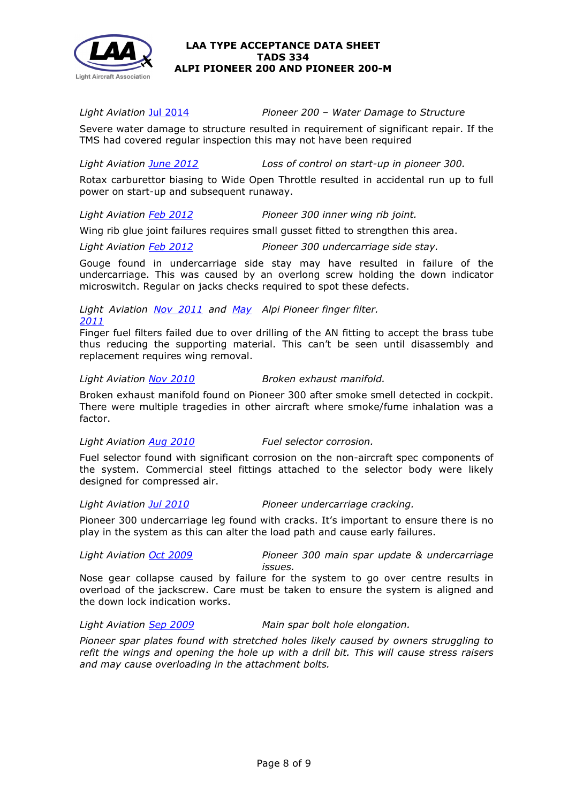

*Light Aviation* Jul [2014](http://www.lightaircraftassociation.co.uk/2014/Mag/July/safety%20spot.pdf) *Pioneer 200 – Water Damage to Structure*

Severe water damage to structure resulted in requirement of significant repair. If the TMS had covered regular inspection this may not have been required

*Light Aviation [June 2012](http://www.lightaircraftassociation.co.uk/2012/Magazine/June/safetyspot.pdf) Loss of control on start-up in pioneer 300.*

Rotax carburettor biasing to Wide Open Throttle resulted in accidental run up to full power on start-up and subsequent runaway.

# *Light Aviation [Feb 2012](http://www.lightaircraftassociation.co.uk/2012/Magazine/Feb/Safety%20Spot%20Feb.pdf) Pioneer 300 inner wing rib joint.*

Wing rib glue joint failures requires small gusset fitted to strengthen this area.

*Light Aviation [Feb 2012](http://www.lightaircraftassociation.co.uk/2012/Magazine/Feb/Safety%20Spot%20Feb.pdf) Pioneer 300 undercarriage side stay.*

Gouge found in undercarriage side stay may have resulted in failure of the undercarriage. This was caused by an overlong screw holding the down indicator microswitch. Regular on jacks checks required to spot these defects.

#### *Light Aviation [Nov 2011](http://www.lightaircraftassociation.co.uk/2011/Magazine/November/LA%20Nov%20SAfety%20Spot.pdf) and [May](http://www.lightaircraftassociation.co.uk/2011/Magazine/May/Safety%20Spot%20May.pdf)  Alpi Pioneer finger filter. [2011](http://www.lightaircraftassociation.co.uk/2011/Magazine/May/Safety%20Spot%20May.pdf)*

Finger fuel filters failed due to over drilling of the AN fitting to accept the brass tube thus reducing the supporting material. This can't be seen until disassembly and replacement requires wing removal.

# *Light Aviation [Nov 2010](http://www.lightaircraftassociation.co.uk/2010/Magazine/2010/Nov/safetySpotNov.pdf) Broken exhaust manifold.*

Broken exhaust manifold found on Pioneer 300 after smoke smell detected in cockpit. There were multiple tragedies in other aircraft where smoke/fume inhalation was a factor.

# *Light Aviation Aug [2010](http://www.lightaircraftassociation.co.uk/2010/Magazine/2010/Aug/Safety%20Spot%20Aug%2010.pdf) Fuel selector corrosion.*

Fuel selector found with significant corrosion on the non-aircraft spec components of the system. Commercial steel fittings attached to the selector body were likely designed for compressed air.

# *Light Aviation Jul [2010](http://www.lightaircraftassociation.co.uk/2010/Magazine/2010/July/Safety_Spot.pdf) Pioneer undercarriage cracking.*

Pioneer 300 undercarriage leg found with cracks. It's important to ensure there is no play in the system as this can alter the load path and cause early failures.

*Light Aviation [Oct 2009](http://www.lightaircraftassociation.co.uk/Magazine/Oct09/safety_spot_Oct09.pdf) Pioneer 300 main spar update & undercarriage issues.*

Nose gear collapse caused by failure for the system to go over centre results in overload of the jackscrew. Care must be taken to ensure the system is aligned and the down lock indication works.

*Light Aviation Sep [2009](http://www.lightaircraftassociation.co.uk/engineering/SafetyIssues/SafetySpotSep09.pdf) Main spar bolt hole elongation.*

*Pioneer spar plates found with stretched holes likely caused by owners struggling to refit the wings and opening the hole up with a drill bit. This will cause stress raisers and may cause overloading in the attachment bolts.*